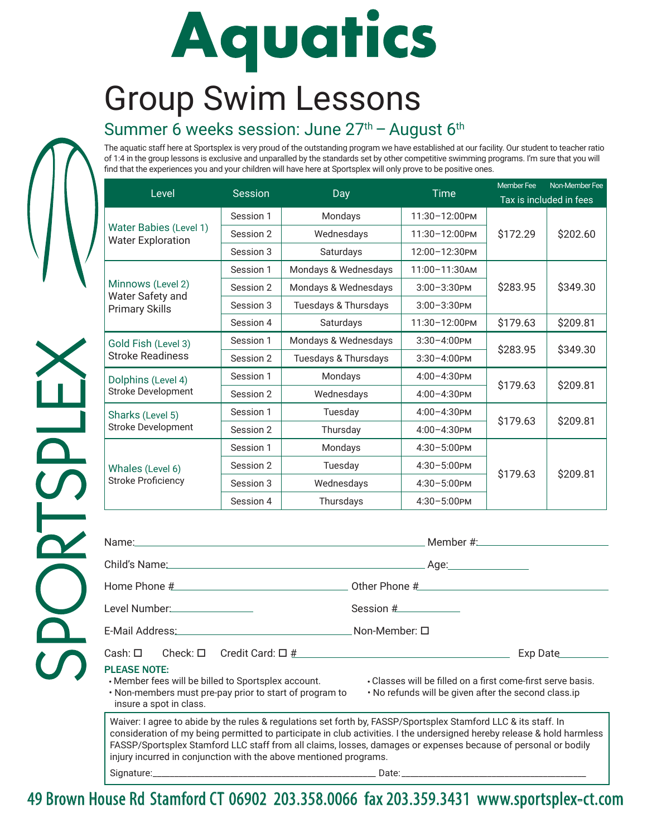## Aquatics

## Group Swim Lessons

## Summer 6 weeks session: June  $27<sup>th</sup>$  – August  $6<sup>th</sup>$

The aquatic staff here at Sportsplex is very proud of the outstanding program we have established at our facility. Our student to teacher ratio of 1:4 in the group lessons is exclusive and unparalled by the standards set by other competitive swimming programs. I'm sure that you will find that the experiences you and your children will have here at Sportsplex will only prove to be positive ones.

|                                                                | <b>Session</b> | Day                  | <b>Time</b>        | <b>Member Fee</b>       | Non-Member Fee |
|----------------------------------------------------------------|----------------|----------------------|--------------------|-------------------------|----------------|
| Level                                                          |                |                      |                    | Tax is included in fees |                |
| Water Babies (Level 1)<br><b>Water Exploration</b>             | Session 1      | Mondays              | 11:30-12:00PM      |                         |                |
|                                                                | Session 2      | Wednesdays           | 11:30-12:00PM      | \$172.29                | \$202.60       |
|                                                                | Session 3      | Saturdays            | 12:00-12:30PM      |                         |                |
| Minnows (Level 2)<br>Water Safety and<br><b>Primary Skills</b> | Session 1      | Mondays & Wednesdays | $11:00 - 11:30$ AM |                         | \$349.30       |
|                                                                | Session 2      | Mondays & Wednesdays | $3:00-3:30$ PM     | \$283.95                |                |
|                                                                | Session 3      | Tuesdays & Thursdays | $3:00-3:30$ PM     |                         |                |
|                                                                | Session 4      | Saturdays            | 11:30-12:00PM      | \$179.63                | \$209.81       |
| Gold Fish (Level 3)<br><b>Stroke Readiness</b>                 | Session 1      | Mondays & Wednesdays | $3:30 - 4:00$ PM   | \$283.95                | \$349.30       |
|                                                                | Session 2      | Tuesdays & Thursdays | $3:30-4:00$ PM     |                         |                |
| Dolphins (Level 4)<br><b>Stroke Development</b>                | Session 1      | Mondays              | $4:00 - 4:30$ PM   | \$179.63                | \$209.81       |
|                                                                | Session 2      | Wednesdays           | $4:00 - 4:30$ PM   |                         |                |
| Sharks (Level 5)<br><b>Stroke Development</b>                  | Session 1      | Tuesday              | $4:00 - 4:30$ PM   |                         | \$209.81       |
|                                                                | Session 2      | Thursday             | $4:00 - 4:30$ PM   | \$179.63                |                |
| Whales (Level 6)<br><b>Stroke Proficiency</b>                  | Session 1      | Mondays              | $4:30 - 5:00$ PM   |                         |                |
|                                                                | Session 2      | Tuesday              | $4:30 - 5:00$ PM   |                         | \$209.81       |
|                                                                | Session 3      | Wednesdays           | $4:30 - 5:00$ PM   | \$179.63                |                |
|                                                                | Session 4      | Thursdays            | 4:30-5:00PM        |                         |                |

| Dolphins (Level 4)                                                                                                                                                                  | Session 1 | Mondays                                                                                                                                                                                                                                    | 4:00-4:30PM                                                                                                         | \$179.63 | \$209.81 |
|-------------------------------------------------------------------------------------------------------------------------------------------------------------------------------------|-----------|--------------------------------------------------------------------------------------------------------------------------------------------------------------------------------------------------------------------------------------------|---------------------------------------------------------------------------------------------------------------------|----------|----------|
| Stroke Development                                                                                                                                                                  | Session 2 | Wednesdays                                                                                                                                                                                                                                 | $4:00 - 4:30$ PM                                                                                                    |          |          |
| Sharks (Level 5)                                                                                                                                                                    | Session 1 | Tuesday                                                                                                                                                                                                                                    | 4:00-4:30PM                                                                                                         | \$179.63 | \$209.81 |
| <b>Stroke Development</b>                                                                                                                                                           | Session 2 | Thursday                                                                                                                                                                                                                                   | $4:00 - 4:30$ PM                                                                                                    |          |          |
|                                                                                                                                                                                     | Session 1 | Mondays                                                                                                                                                                                                                                    | 4:30-5:00PM                                                                                                         | \$179.63 | \$209.81 |
| Whales (Level 6)                                                                                                                                                                    | Session 2 | Tuesday                                                                                                                                                                                                                                    | $4:30 - 5:00$ PM                                                                                                    |          |          |
| <b>Stroke Proficiency</b>                                                                                                                                                           | Session 3 | Wednesdays                                                                                                                                                                                                                                 | $4:30 - 5:00$ PM                                                                                                    |          |          |
|                                                                                                                                                                                     | Session 4 | Thursdays                                                                                                                                                                                                                                  | 4:30-5:00PM                                                                                                         |          |          |
| Home Phone # 1999   1999   1999   1999   1999   1999   1999   1999   1999   1999   1999   1999   1999   1999                                                                        |           |                                                                                                                                                                                                                                            | Other Phone #                                                                                                       |          |          |
| Level Number:                                                                                                                                                                       |           |                                                                                                                                                                                                                                            | Session #                                                                                                           |          |          |
| E-Mail Address: North and South Address and Address and Address and Address and Address and Address and Addres                                                                      |           | . Non-Member: $\Box$                                                                                                                                                                                                                       |                                                                                                                     |          |          |
| Cash: $\square$<br>Check: $\square$<br>Credit Card: $\Box$ #                                                                                                                        |           |                                                                                                                                                                                                                                            |                                                                                                                     | Exp Date |          |
| <b>PLEASE NOTE:</b><br>• Member fees will be billed to Sportsplex account.<br>. Non-members must pre-pay prior to start of program to<br>insure a spot in class.                    |           |                                                                                                                                                                                                                                            | . Classes will be filled on a first come-first serve basis.<br>. No refunds will be given after the second class.ip |          |          |
| FASSP/Sportsplex Stamford LLC staff from all claims, losses, damages or expenses because of personal or bodily<br>injury incurred in conjunction with the above mentioned programs. |           | Waiver: I agree to abide by the rules & regulations set forth by, FASSP/Sportsplex Stamford LLC & its staff. In<br>consideration of my being permitted to participate in club activities. I the undersigned hereby release & hold harmless |                                                                                                                     |          |          |

Signature:\_\_\_\_\_\_\_\_\_\_\_\_\_\_\_\_\_\_\_\_\_\_\_\_\_\_\_\_\_\_\_\_\_\_\_\_\_\_\_\_\_\_\_\_\_\_\_\_\_\_\_\_ Date: \_\_\_\_\_\_\_\_\_\_\_\_\_\_\_\_\_\_\_\_\_\_\_\_\_\_\_\_\_\_\_\_\_\_\_\_\_\_\_\_\_\_\_

49 Brown House Rd Stamford CT 06902 203.358.0066 fax 203.359.3431 www.sportsplex-ct.com